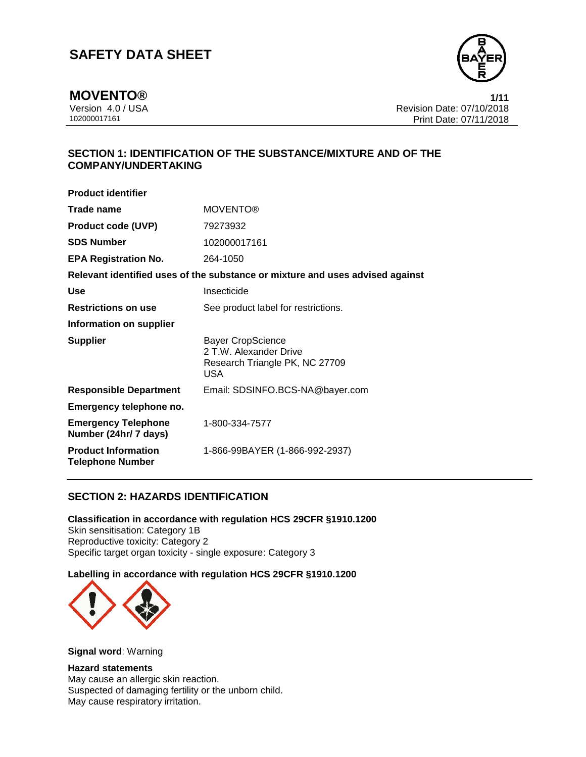

**MOVENTO®** 1/11<br>Version 4.0 / USA 1/15 Version 4.0 / USA Revision Date: 07/10/2018 Print Date: 07/11/2018

## **SECTION 1: IDENTIFICATION OF THE SUBSTANCE/MIXTURE AND OF THE COMPANY/UNDERTAKING**

| <b>Product identifier</b>                             |                                                                                              |
|-------------------------------------------------------|----------------------------------------------------------------------------------------------|
| Trade name                                            | <b>MOVENTO®</b>                                                                              |
| <b>Product code (UVP)</b>                             | 79273932                                                                                     |
| <b>SDS Number</b>                                     | 102000017161                                                                                 |
| <b>EPA Registration No.</b>                           | 264-1050                                                                                     |
|                                                       | Relevant identified uses of the substance or mixture and uses advised against                |
| Use                                                   | Insecticide                                                                                  |
| <b>Restrictions on use</b>                            | See product label for restrictions.                                                          |
| Information on supplier                               |                                                                                              |
| <b>Supplier</b>                                       | <b>Bayer CropScience</b><br>2 T.W. Alexander Drive<br>Research Triangle PK, NC 27709<br>USA. |
| <b>Responsible Department</b>                         | Email: SDSINFO.BCS-NA@bayer.com                                                              |
| Emergency telephone no.                               |                                                                                              |
| <b>Emergency Telephone</b><br>Number (24hr/ 7 days)   | 1-800-334-7577                                                                               |
| <b>Product Information</b><br><b>Telephone Number</b> | 1-866-99BAYER (1-866-992-2937)                                                               |

## **SECTION 2: HAZARDS IDENTIFICATION**

**Classification in accordance with regulation HCS 29CFR §1910.1200** Skin sensitisation: Category 1B Reproductive toxicity: Category 2 Specific target organ toxicity - single exposure: Category 3

## **Labelling in accordance with regulation HCS 29CFR §1910.1200**



**Signal word**: Warning

## **Hazard statements**

May cause an allergic skin reaction. Suspected of damaging fertility or the unborn child. May cause respiratory irritation.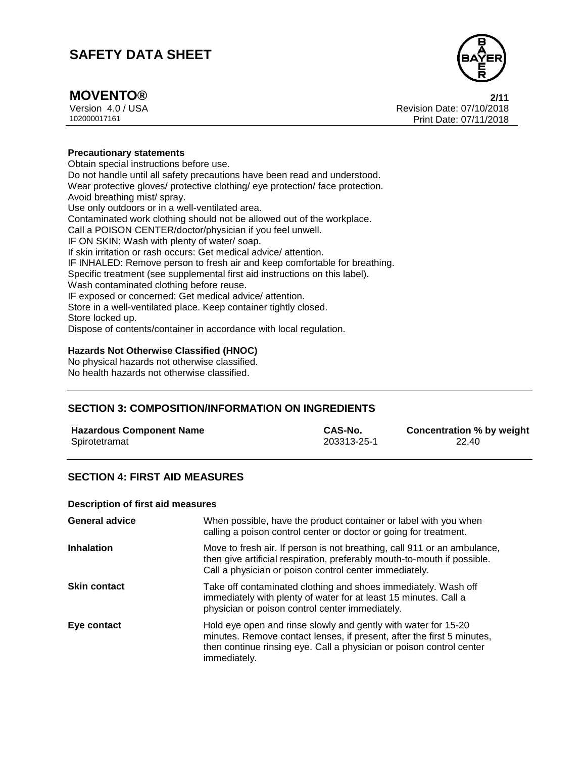

## **MOVENTO® 2/11**

Version 4.0 / USA Revision Date: 07/10/2018 Print Date: 07/11/2018

### **Precautionary statements**

Obtain special instructions before use. Do not handle until all safety precautions have been read and understood. Wear protective gloves/ protective clothing/ eye protection/ face protection. Avoid breathing mist/ spray. Use only outdoors or in a well-ventilated area. Contaminated work clothing should not be allowed out of the workplace. Call a POISON CENTER/doctor/physician if you feel unwell. IF ON SKIN: Wash with plenty of water/ soap. If skin irritation or rash occurs: Get medical advice/ attention. IF INHALED: Remove person to fresh air and keep comfortable for breathing. Specific treatment (see supplemental first aid instructions on this label). Wash contaminated clothing before reuse. IF exposed or concerned: Get medical advice/ attention. Store in a well-ventilated place. Keep container tightly closed. Store locked up. Dispose of contents/container in accordance with local regulation.

### **Hazards Not Otherwise Classified (HNOC)**

No physical hazards not otherwise classified. No health hazards not otherwise classified.

## **SECTION 3: COMPOSITION/INFORMATION ON INGREDIENTS**

| <b>Hazardous Component Name</b> | CAS-No.     | Concentration % by weight |
|---------------------------------|-------------|---------------------------|
| Spirotetramat                   | 203313-25-1 | 22.40                     |

## **SECTION 4: FIRST AID MEASURES**

#### **Description of first aid measures**

| <b>General advice</b> | When possible, have the product container or label with you when<br>calling a poison control center or doctor or going for treatment.                                                                                            |
|-----------------------|----------------------------------------------------------------------------------------------------------------------------------------------------------------------------------------------------------------------------------|
| <b>Inhalation</b>     | Move to fresh air. If person is not breathing, call 911 or an ambulance,<br>then give artificial respiration, preferably mouth-to-mouth if possible.<br>Call a physician or poison control center immediately.                   |
| <b>Skin contact</b>   | Take off contaminated clothing and shoes immediately. Wash off<br>immediately with plenty of water for at least 15 minutes. Call a<br>physician or poison control center immediately.                                            |
| Eye contact           | Hold eye open and rinse slowly and gently with water for 15-20<br>minutes. Remove contact lenses, if present, after the first 5 minutes,<br>then continue rinsing eye. Call a physician or poison control center<br>immediately. |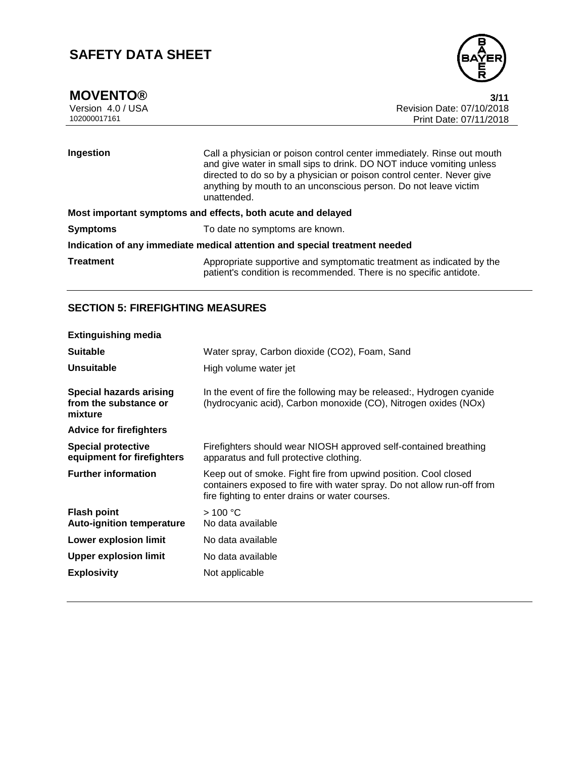

**MOVENTO®** 3/11<br>Version 4.0 / USA 3/12<br>Revision Date: 07/10/2018 Version 4.0 / USA Revision Date: 07/10/2018 Print Date: 07/11/2018

| Ingestion                                                                  | Call a physician or poison control center immediately. Rinse out mouth<br>and give water in small sips to drink. DO NOT induce vomiting unless<br>directed to do so by a physician or poison control center. Never give<br>anything by mouth to an unconscious person. Do not leave victim<br>unattended. |  |
|----------------------------------------------------------------------------|-----------------------------------------------------------------------------------------------------------------------------------------------------------------------------------------------------------------------------------------------------------------------------------------------------------|--|
| Most important symptoms and effects, both acute and delayed                |                                                                                                                                                                                                                                                                                                           |  |
| <b>Symptoms</b>                                                            | To date no symptoms are known.                                                                                                                                                                                                                                                                            |  |
| Indication of any immediate medical attention and special treatment needed |                                                                                                                                                                                                                                                                                                           |  |
| <b>Treatment</b>                                                           | Appropriate supportive and symptomatic treatment as indicated by the<br>patient's condition is recommended. There is no specific antidote.                                                                                                                                                                |  |

## **SECTION 5: FIREFIGHTING MEASURES**

| <b>Extinguishing media</b>                                         |                                                                                                                                                                                              |
|--------------------------------------------------------------------|----------------------------------------------------------------------------------------------------------------------------------------------------------------------------------------------|
| <b>Suitable</b>                                                    | Water spray, Carbon dioxide (CO2), Foam, Sand                                                                                                                                                |
| Unsuitable                                                         | High volume water jet                                                                                                                                                                        |
| <b>Special hazards arising</b><br>from the substance or<br>mixture | In the event of fire the following may be released:, Hydrogen cyanide<br>(hydrocyanic acid), Carbon monoxide (CO), Nitrogen oxides (NOx)                                                     |
| <b>Advice for firefighters</b>                                     |                                                                                                                                                                                              |
| <b>Special protective</b><br>equipment for firefighters            | Firefighters should wear NIOSH approved self-contained breathing<br>apparatus and full protective clothing.                                                                                  |
| <b>Further information</b>                                         | Keep out of smoke. Fight fire from upwind position. Cool closed<br>containers exposed to fire with water spray. Do not allow run-off from<br>fire fighting to enter drains or water courses. |
| <b>Flash point</b><br><b>Auto-ignition temperature</b>             | >100 °C<br>No data available                                                                                                                                                                 |
| <b>Lower explosion limit</b>                                       | No data available                                                                                                                                                                            |
| <b>Upper explosion limit</b>                                       | No data available                                                                                                                                                                            |
| <b>Explosivity</b>                                                 | Not applicable                                                                                                                                                                               |
|                                                                    |                                                                                                                                                                                              |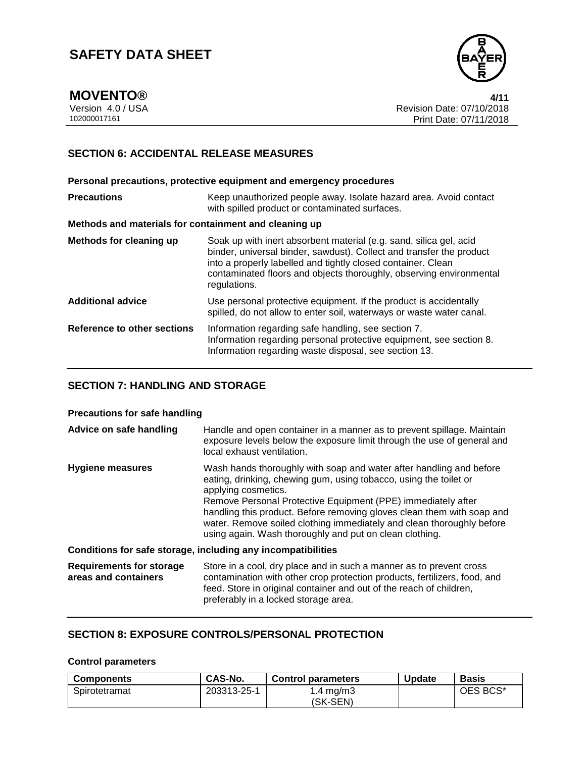

**MOVENTO® 4/11**

Version 4.0 / USA Revision Date: 07/10/2018 Print Date: 07/11/2018

## **SECTION 6: ACCIDENTAL RELEASE MEASURES**

**Personal precautions, protective equipment and emergency procedures Precautions Keep unauthorized people away. Isolate hazard area. Avoid contact** with spilled product or contaminated surfaces. **Methods and materials for containment and cleaning up Methods for cleaning up** Soak up with inert absorbent material (e.g. sand, silica gel, acid binder, universal binder, sawdust). Collect and transfer the product into a properly labelled and tightly closed container. Clean contaminated floors and objects thoroughly, observing environmental regulations. **Additional advice** Use personal protective equipment. If the product is accidentally spilled, do not allow to enter soil, waterways or waste water canal. **Reference to other sections** Information regarding safe handling, see section 7. Information regarding personal protective equipment, see section 8. Information regarding waste disposal, see section 13.

## **SECTION 7: HANDLING AND STORAGE**

### **Precautions for safe handling**

| Advice on safe handling                                      | Handle and open container in a manner as to prevent spillage. Maintain<br>exposure levels below the exposure limit through the use of general and<br>local exhaust ventilation.                                                                                                                                                                                                                                                               |  |
|--------------------------------------------------------------|-----------------------------------------------------------------------------------------------------------------------------------------------------------------------------------------------------------------------------------------------------------------------------------------------------------------------------------------------------------------------------------------------------------------------------------------------|--|
| <b>Hygiene measures</b>                                      | Wash hands thoroughly with soap and water after handling and before<br>eating, drinking, chewing gum, using tobacco, using the toilet or<br>applying cosmetics.<br>Remove Personal Protective Equipment (PPE) immediately after<br>handling this product. Before removing gloves clean them with soap and<br>water. Remove soiled clothing immediately and clean thoroughly before<br>using again. Wash thoroughly and put on clean clothing. |  |
| Conditions for safe storage, including any incompatibilities |                                                                                                                                                                                                                                                                                                                                                                                                                                               |  |
| <b>Requirements for storage</b><br>areas and containers      | Store in a cool, dry place and in such a manner as to prevent cross<br>contamination with other crop protection products, fertilizers, food, and<br>feed. Store in original container and out of the reach of children,<br>preferably in a locked storage area.                                                                                                                                                                               |  |

## **SECTION 8: EXPOSURE CONTROLS/PERSONAL PROTECTION**

## **Control parameters**

| <b>Components</b> | CAS-No.     | <b>Control parameters</b> | <b>Update</b> | <b>Basis</b> |
|-------------------|-------------|---------------------------|---------------|--------------|
| Spirotetramat     | 203313-25-1 | $\sqrt{4}$ mg/m3          |               | OES BCS*     |
|                   |             | (SK-SEN)                  |               |              |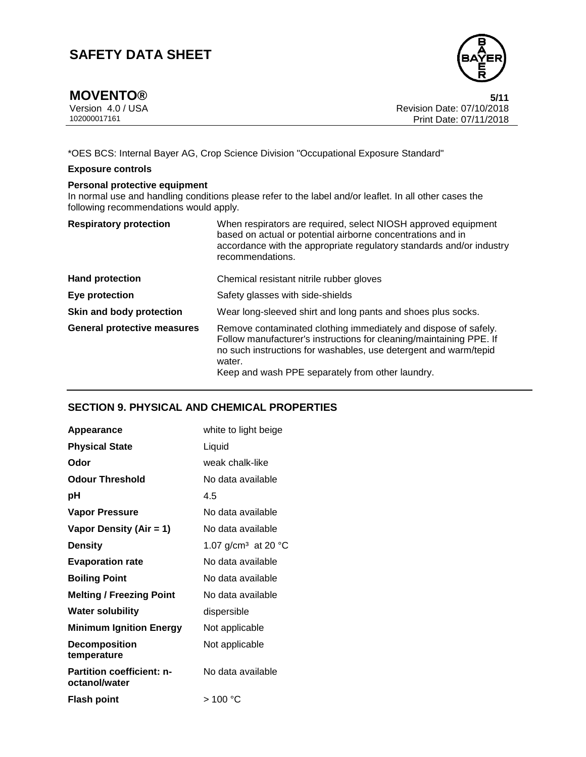

**MOVENTO®** 5/11<br>Version 4.0 / USA 5/12<br>Revision Date: 07/10/2018 Version 4.0 / USA Revision Date: 07/10/2018 Print Date: 07/11/2018

\*OES BCS: Internal Bayer AG, Crop Science Division "Occupational Exposure Standard"

## **Exposure controls**

## **Personal protective equipment**

In normal use and handling conditions please refer to the label and/or leaflet. In all other cases the following recommendations would apply.

| <b>Respiratory protection</b>      | When respirators are required, select NIOSH approved equipment<br>based on actual or potential airborne concentrations and in<br>accordance with the appropriate regulatory standards and/or industry<br>recommendations.                                                |
|------------------------------------|--------------------------------------------------------------------------------------------------------------------------------------------------------------------------------------------------------------------------------------------------------------------------|
| <b>Hand protection</b>             | Chemical resistant nitrile rubber gloves                                                                                                                                                                                                                                 |
| Eye protection                     | Safety glasses with side-shields                                                                                                                                                                                                                                         |
| Skin and body protection           | Wear long-sleeved shirt and long pants and shoes plus socks.                                                                                                                                                                                                             |
| <b>General protective measures</b> | Remove contaminated clothing immediately and dispose of safely.<br>Follow manufacturer's instructions for cleaning/maintaining PPE. If<br>no such instructions for washables, use detergent and warm/tepid<br>water.<br>Keep and wash PPE separately from other laundry. |

## **SECTION 9. PHYSICAL AND CHEMICAL PROPERTIES**

| <b>Appearance</b>                                 | white to light beige                      |
|---------------------------------------------------|-------------------------------------------|
| <b>Physical State</b>                             | Liquid                                    |
| Odor                                              | weak chalk-like                           |
| <b>Odour Threshold</b>                            | No data available                         |
| pН                                                | 4.5                                       |
| <b>Vapor Pressure</b>                             | No data available                         |
| Vapor Density (Air = 1)                           | No data available                         |
| <b>Density</b>                                    | 1.07 g/cm <sup>3</sup> at 20 $^{\circ}$ C |
| <b>Evaporation rate</b>                           | No data available                         |
| <b>Boiling Point</b>                              | No data available                         |
| <b>Melting / Freezing Point</b>                   | No data available                         |
| <b>Water solubility</b>                           | dispersible                               |
| <b>Minimum Ignition Energy</b>                    | Not applicable                            |
| <b>Decomposition</b><br>temperature               | Not applicable                            |
| <b>Partition coefficient: n-</b><br>octanol/water | No data available                         |
| <b>Flash point</b>                                | > 100 °C                                  |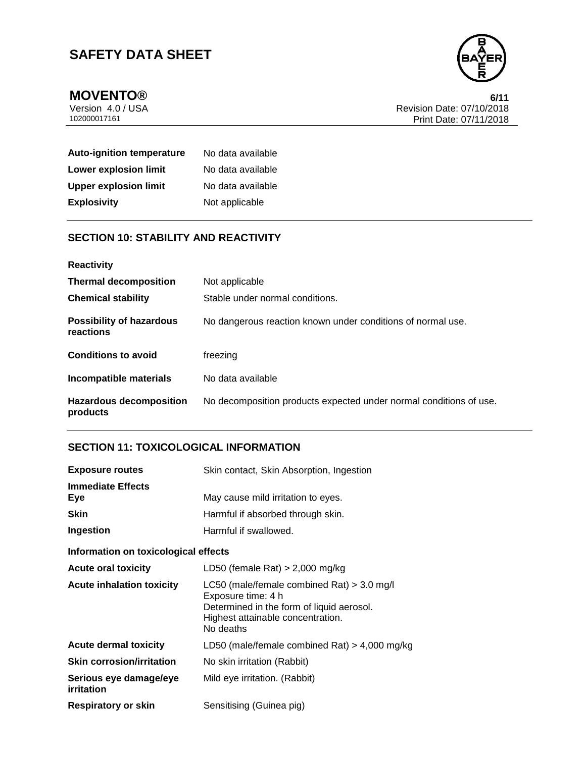

**MOVENTO®** 6/11<br>Version 4.0 / USA 6/12<br>Revision Date: 07/10/2018 Version 4.0 / USA Revision Date: 07/10/2018 Print Date: 07/11/2018

| <b>Auto-ignition temperature</b> | No data available |
|----------------------------------|-------------------|
| Lower explosion limit            | No data available |
| <b>Upper explosion limit</b>     | No data available |
| <b>Explosivity</b>               | Not applicable    |

## **SECTION 10: STABILITY AND REACTIVITY**

| <b>Reactivity</b>                            |                                                                    |
|----------------------------------------------|--------------------------------------------------------------------|
| <b>Thermal decomposition</b>                 | Not applicable                                                     |
| <b>Chemical stability</b>                    | Stable under normal conditions.                                    |
| <b>Possibility of hazardous</b><br>reactions | No dangerous reaction known under conditions of normal use.        |
| <b>Conditions to avoid</b>                   | freezing                                                           |
| Incompatible materials                       | No data available                                                  |
| <b>Hazardous decomposition</b><br>products   | No decomposition products expected under normal conditions of use. |

## **SECTION 11: TOXICOLOGICAL INFORMATION**

| <b>Exposure routes</b>               | Skin contact, Skin Absorption, Ingestion                                                                                                                          |
|--------------------------------------|-------------------------------------------------------------------------------------------------------------------------------------------------------------------|
| <b>Immediate Effects</b><br>Eye      | May cause mild irritation to eyes.                                                                                                                                |
| <b>Skin</b>                          | Harmful if absorbed through skin.                                                                                                                                 |
| Ingestion                            | Harmful if swallowed.                                                                                                                                             |
| Information on toxicological effects |                                                                                                                                                                   |
| <b>Acute oral toxicity</b>           | LD50 (female Rat) $> 2,000$ mg/kg                                                                                                                                 |
| <b>Acute inhalation toxicity</b>     | LC50 (male/female combined Rat) $>$ 3.0 mg/l<br>Exposure time: 4 h<br>Determined in the form of liquid aerosol.<br>Highest attainable concentration.<br>No deaths |
| <b>Acute dermal toxicity</b>         | LD50 (male/female combined Rat) > 4,000 mg/kg                                                                                                                     |
| <b>Skin corrosion/irritation</b>     | No skin irritation (Rabbit)                                                                                                                                       |
| Serious eye damage/eye<br>irritation | Mild eye irritation. (Rabbit)                                                                                                                                     |
| <b>Respiratory or skin</b>           | Sensitising (Guinea pig)                                                                                                                                          |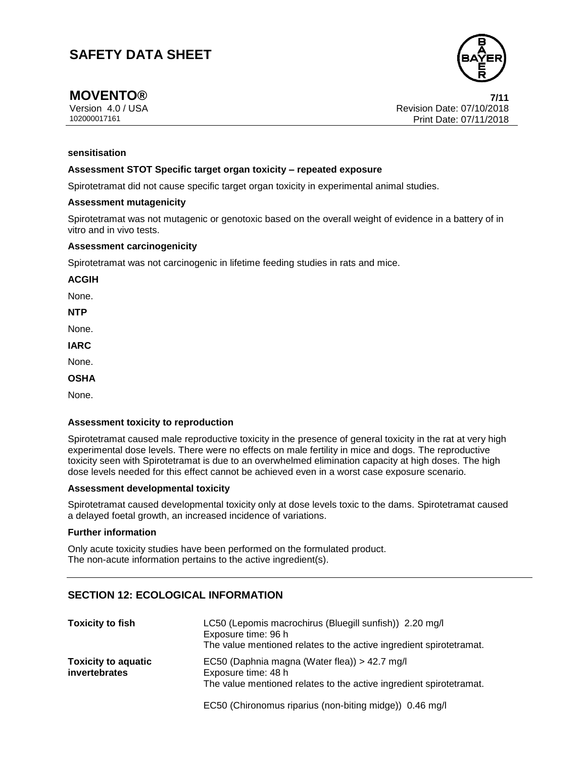

## **MOVENTO® 7/11**

Version 4.0 / USA Revision Date: 07/10/2018 102000017161 Print Date: 07/11/2018

## **sensitisation**

#### **Assessment STOT Specific target organ toxicity – repeated exposure**

Spirotetramat did not cause specific target organ toxicity in experimental animal studies.

#### **Assessment mutagenicity**

Spirotetramat was not mutagenic or genotoxic based on the overall weight of evidence in a battery of in vitro and in vivo tests.

#### **Assessment carcinogenicity**

Spirotetramat was not carcinogenic in lifetime feeding studies in rats and mice.

**ACGIH**

None.

**NTP**

None.

**IARC**

None.

**OSHA**

None.

### **Assessment toxicity to reproduction**

Spirotetramat caused male reproductive toxicity in the presence of general toxicity in the rat at very high experimental dose levels. There were no effects on male fertility in mice and dogs. The reproductive toxicity seen with Spirotetramat is due to an overwhelmed elimination capacity at high doses. The high dose levels needed for this effect cannot be achieved even in a worst case exposure scenario.

#### **Assessment developmental toxicity**

Spirotetramat caused developmental toxicity only at dose levels toxic to the dams. Spirotetramat caused a delayed foetal growth, an increased incidence of variations.

#### **Further information**

Only acute toxicity studies have been performed on the formulated product. The non-acute information pertains to the active ingredient(s).

## **SECTION 12: ECOLOGICAL INFORMATION**

| <b>Toxicity to fish</b>                            | LC50 (Lepomis macrochirus (Bluegill sunfish)) 2.20 mg/l<br>Exposure time: 96 h<br>The value mentioned relates to the active ingredient spirotetramat. |
|----------------------------------------------------|-------------------------------------------------------------------------------------------------------------------------------------------------------|
| <b>Toxicity to aquatic</b><br><i>invertebrates</i> | EC50 (Daphnia magna (Water flea)) > 42.7 mg/l<br>Exposure time: 48 h<br>The value mentioned relates to the active ingredient spirotetramat.           |

EC50 (Chironomus riparius (non-biting midge)) 0.46 mg/l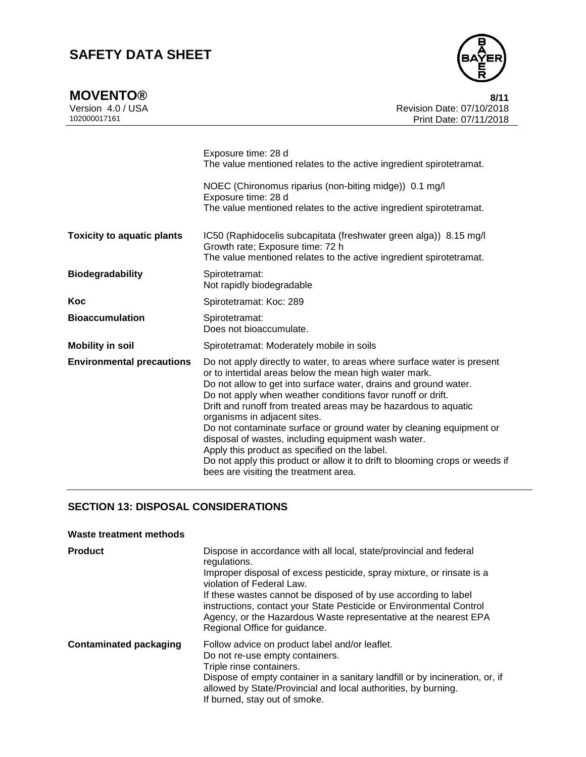| <b>MOVENTO®</b> | 8/11 |
|-----------------|------|
|                 |      |



Version 4.0 / USA **Revision Date: 07/10/2018**<br>102000017161<br>Print Date: 07/11/2018 Print Date: 07/11/2018

|                                   | Exposure time: 28 d<br>The value mentioned relates to the active ingredient spirotetramat.<br>NOEC (Chironomus riparius (non-biting midge)) 0.1 mg/l<br>Exposure time: 28 d<br>The value mentioned relates to the active ingredient spirotetramat.                                                                                                                                                                                                                                                                                                                                                                                                                              |
|-----------------------------------|---------------------------------------------------------------------------------------------------------------------------------------------------------------------------------------------------------------------------------------------------------------------------------------------------------------------------------------------------------------------------------------------------------------------------------------------------------------------------------------------------------------------------------------------------------------------------------------------------------------------------------------------------------------------------------|
| <b>Toxicity to aquatic plants</b> | IC50 (Raphidocelis subcapitata (freshwater green alga)) 8.15 mg/l<br>Growth rate; Exposure time: 72 h<br>The value mentioned relates to the active ingredient spirotetramat.                                                                                                                                                                                                                                                                                                                                                                                                                                                                                                    |
| <b>Biodegradability</b>           | Spirotetramat:<br>Not rapidly biodegradable                                                                                                                                                                                                                                                                                                                                                                                                                                                                                                                                                                                                                                     |
| Koc                               | Spirotetramat: Koc: 289                                                                                                                                                                                                                                                                                                                                                                                                                                                                                                                                                                                                                                                         |
| <b>Bioaccumulation</b>            | Spirotetramat:<br>Does not bioaccumulate.                                                                                                                                                                                                                                                                                                                                                                                                                                                                                                                                                                                                                                       |
| <b>Mobility in soil</b>           | Spirotetramat: Moderately mobile in soils                                                                                                                                                                                                                                                                                                                                                                                                                                                                                                                                                                                                                                       |
| <b>Environmental precautions</b>  | Do not apply directly to water, to areas where surface water is present<br>or to intertidal areas below the mean high water mark.<br>Do not allow to get into surface water, drains and ground water.<br>Do not apply when weather conditions favor runoff or drift.<br>Drift and runoff from treated areas may be hazardous to aquatic<br>organisms in adjacent sites.<br>Do not contaminate surface or ground water by cleaning equipment or<br>disposal of wastes, including equipment wash water.<br>Apply this product as specified on the label.<br>Do not apply this product or allow it to drift to blooming crops or weeds if<br>bees are visiting the treatment area. |

## **SECTION 13: DISPOSAL CONSIDERATIONS**

## **Waste treatment methods**

| <b>Product</b>                | Dispose in accordance with all local, state/provincial and federal<br>regulations.<br>Improper disposal of excess pesticide, spray mixture, or rinsate is a<br>violation of Federal Law.<br>If these wastes cannot be disposed of by use according to label<br>instructions, contact your State Pesticide or Environmental Control<br>Agency, or the Hazardous Waste representative at the nearest EPA<br>Regional Office for guidance. |
|-------------------------------|-----------------------------------------------------------------------------------------------------------------------------------------------------------------------------------------------------------------------------------------------------------------------------------------------------------------------------------------------------------------------------------------------------------------------------------------|
| <b>Contaminated packaging</b> | Follow advice on product label and/or leaflet.<br>Do not re-use empty containers.<br>Triple rinse containers.<br>Dispose of empty container in a sanitary landfill or by incineration, or, if<br>allowed by State/Provincial and local authorities, by burning.<br>If burned, stay out of smoke.                                                                                                                                        |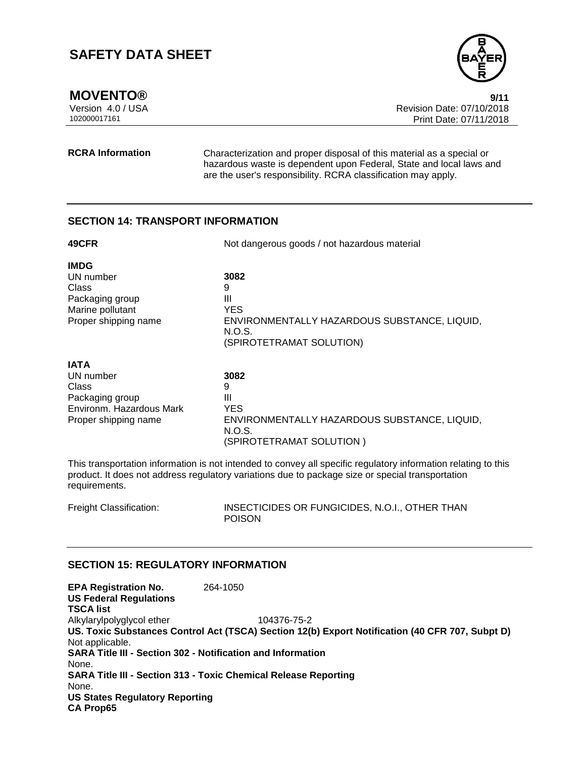

**MOVENTO®** 9/11<br>Version 4.0 / USA 9/12 9 Revision Date: 07/10/2018 Version 4.0 / USA Revision Date: 07/10/2018 Print Date: 07/11/2018

**RCRA Information** Characterization and proper disposal of this material as a special or hazardous waste is dependent upon Federal, State and local laws and are the user's responsibility. RCRA classification may apply.

## **SECTION 14: TRANSPORT INFORMATION**

| 49CFR                                                                                                    | Not dangerous goods / not hazardous material                                                                       |
|----------------------------------------------------------------------------------------------------------|--------------------------------------------------------------------------------------------------------------------|
| <b>IMDG</b><br>UN number<br>Class<br>Packaging group<br>Marine pollutant<br>Proper shipping name         | 3082<br>9<br>Ш<br>YES.<br>ENVIRONMENTALLY HAZARDOUS SUBSTANCE, LIQUID,<br>N.O.S.<br>(SPIROTETRAMAT SOLUTION)       |
| <b>IATA</b><br>UN number<br>Class<br>Packaging group<br>Environm. Hazardous Mark<br>Proper shipping name | 3082<br>9<br>Ш<br><b>YES</b><br>ENVIRONMENTALLY HAZARDOUS SUBSTANCE, LIQUID,<br>N.O.S.<br>(SPIROTETRAMAT SOLUTION) |

This transportation information is not intended to convey all specific regulatory information relating to this product. It does not address regulatory variations due to package size or special transportation requirements.

Freight Classification: INSECTICIDES OR FUNGICIDES, N.O.I., OTHER THAN POISON

## **SECTION 15: REGULATORY INFORMATION**

| <b>EPA Registration No.</b><br><b>US Federal Regulations</b> | 264-1050                                                                                        |
|--------------------------------------------------------------|-------------------------------------------------------------------------------------------------|
| <b>TSCA list</b>                                             |                                                                                                 |
| Alkylarylpolyglycol ether                                    | 104376-75-2                                                                                     |
|                                                              | US. Toxic Substances Control Act (TSCA) Section 12(b) Export Notification (40 CFR 707, Subpt D) |
| Not applicable.                                              |                                                                                                 |
|                                                              | <b>SARA Title III - Section 302 - Notification and Information</b>                              |
| None.                                                        |                                                                                                 |
|                                                              | <b>SARA Title III - Section 313 - Toxic Chemical Release Reporting</b>                          |
| None.                                                        |                                                                                                 |
| <b>US States Regulatory Reporting</b>                        |                                                                                                 |
| <b>CA Prop65</b>                                             |                                                                                                 |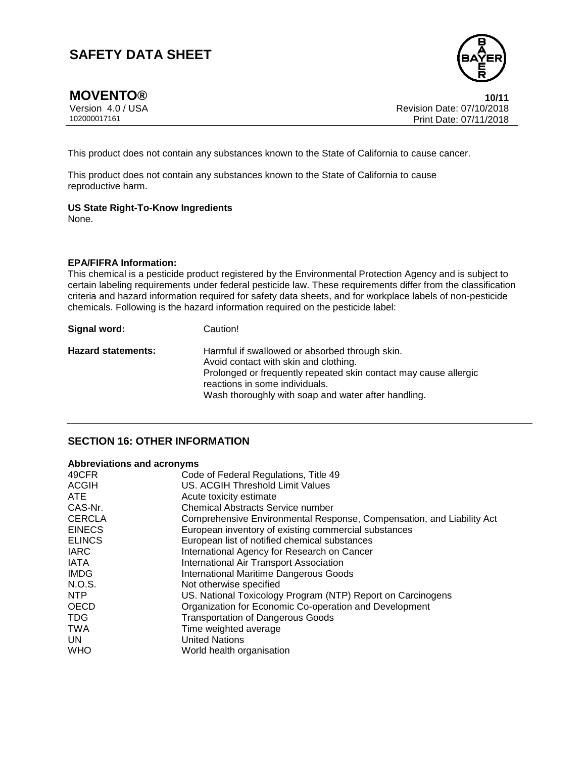

**MOVENTO®** 10/11<br>Version 4.0 / USA 10/15 and the set of the set of the set of the set of the set of the set of the set of the set o Version 4.0 / USA Revision Date: 07/10/2018 Print Date: 07/11/2018

This product does not contain any substances known to the State of California to cause cancer.

This product does not contain any substances known to the State of California to cause reproductive harm.

## **US State Right-To-Know Ingredients**

None.

## **EPA/FIFRA Information:**

This chemical is a pesticide product registered by the Environmental Protection Agency and is subject to certain labeling requirements under federal pesticide law. These requirements differ from the classification criteria and hazard information required for safety data sheets, and for workplace labels of non-pesticide chemicals. Following is the hazard information required on the pesticide label:

| Signal word:              | Caution!                                                                                           |
|---------------------------|----------------------------------------------------------------------------------------------------|
| <b>Hazard statements:</b> | Harmful if swallowed or absorbed through skin.<br>Avoid contact with skin and clothing.            |
|                           | Prolonged or frequently repeated skin contact may cause allergic<br>reactions in some individuals. |
|                           | Wash thoroughly with soap and water after handling.                                                |

## **SECTION 16: OTHER INFORMATION**

## **Abbreviations and acronyms**

| US. ACGIH Threshold Limit Values<br><b>ACGIH</b><br><b>ATE</b><br>Acute toxicity estimate<br>CAS-Nr.<br><b>Chemical Abstracts Service number</b><br><b>CERCLA</b><br>Comprehensive Environmental Response, Compensation, and Liability Act<br><b>EINECS</b><br>European inventory of existing commercial substances<br><b>ELINCS</b><br>European list of notified chemical substances<br><b>IARC</b><br>International Agency for Research on Cancer<br><b>IATA</b><br>International Air Transport Association | 49CFR       | Code of Federal Regulations, Title 49         |
|---------------------------------------------------------------------------------------------------------------------------------------------------------------------------------------------------------------------------------------------------------------------------------------------------------------------------------------------------------------------------------------------------------------------------------------------------------------------------------------------------------------|-------------|-----------------------------------------------|
|                                                                                                                                                                                                                                                                                                                                                                                                                                                                                                               |             |                                               |
|                                                                                                                                                                                                                                                                                                                                                                                                                                                                                                               |             |                                               |
|                                                                                                                                                                                                                                                                                                                                                                                                                                                                                                               |             |                                               |
|                                                                                                                                                                                                                                                                                                                                                                                                                                                                                                               |             |                                               |
|                                                                                                                                                                                                                                                                                                                                                                                                                                                                                                               |             |                                               |
|                                                                                                                                                                                                                                                                                                                                                                                                                                                                                                               |             |                                               |
|                                                                                                                                                                                                                                                                                                                                                                                                                                                                                                               |             |                                               |
|                                                                                                                                                                                                                                                                                                                                                                                                                                                                                                               |             |                                               |
|                                                                                                                                                                                                                                                                                                                                                                                                                                                                                                               | <b>IMDG</b> | <b>International Maritime Dangerous Goods</b> |
| N.O.S.<br>Not otherwise specified                                                                                                                                                                                                                                                                                                                                                                                                                                                                             |             |                                               |
| NTP<br>US. National Toxicology Program (NTP) Report on Carcinogens                                                                                                                                                                                                                                                                                                                                                                                                                                            |             |                                               |
| <b>OECD</b><br>Organization for Economic Co-operation and Development                                                                                                                                                                                                                                                                                                                                                                                                                                         |             |                                               |
| TDG.<br><b>Transportation of Dangerous Goods</b>                                                                                                                                                                                                                                                                                                                                                                                                                                                              |             |                                               |
| <b>TWA</b><br>Time weighted average                                                                                                                                                                                                                                                                                                                                                                                                                                                                           |             |                                               |
| <b>United Nations</b><br>UN.                                                                                                                                                                                                                                                                                                                                                                                                                                                                                  |             |                                               |
| <b>WHO</b><br>World health organisation                                                                                                                                                                                                                                                                                                                                                                                                                                                                       |             |                                               |